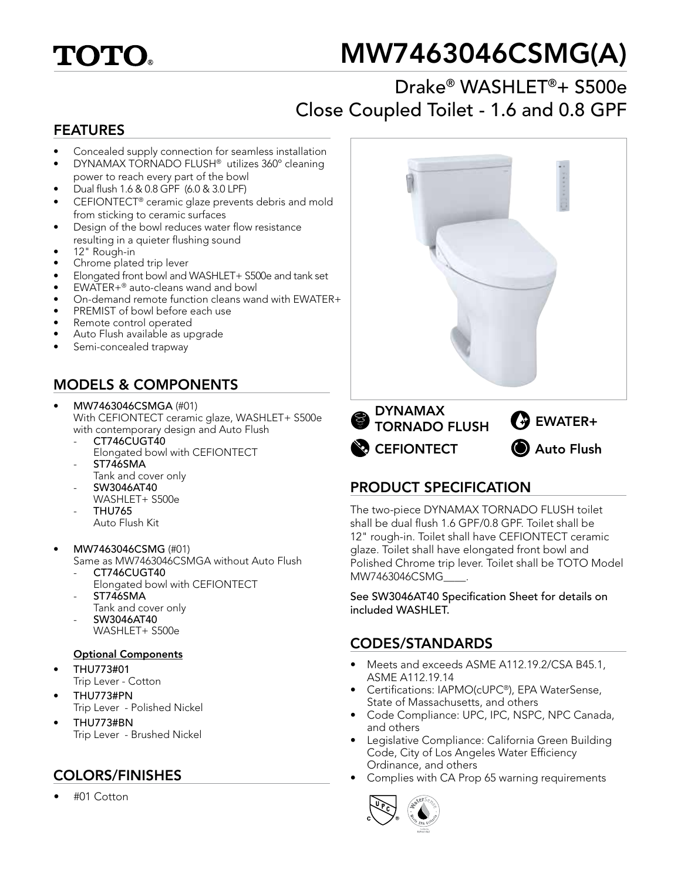

# MW7463046CSMG(A)

## Drake® WASHLET®+ S500e Close Coupled Toilet - 1.6 and 0.8 GPF

#### FEATURES

- Concealed supply connection for seamless installation
- DYNAMAX TORNADO FLUSH® utilizes 360º cleaning power to reach every part of the bowl
- Dual flush 1.6 & 0.8 GPF (6.0 & 3.0 LPF)
- CEFIONTECT® ceramic glaze prevents debris and mold from sticking to ceramic surfaces
- Design of the bowl reduces water flow resistance resulting in a quieter flushing sound
- 12" Rough-in
- Chrome plated trip lever
- Elongated front bowl and WASHLET+ S500e and tank set
- EWATER+® auto-cleans wand and bowl
- On-demand remote function cleans wand with EWATER+
- PREMIST of bowl before each use
- Remote control operated
- Auto Flush available as upgrade
- Semi-concealed trapway

## MODELS & COMPONENTS

- MW7463046CSMGA (#01) With CEFIONTECT ceramic glaze, WASHLET+ S500e with contemporary design and Auto Flush
	- CT746CUGT40
	- Elongated bowl with CEFIONTECT
	- ST746SMA Tank and cover only
	- SW3046AT40
		- WASHLET+ S500e
	- THU765 Auto Flush Kit
- MW7463046CSMG (#01) Same as MW7463046CSMGA without Auto Flush
	- CT746CUGT40 Elongated bowl with CEFIONTECT
	- ST746SMA
	- Tank and cover only
	- SW3046AT40
	- WASHLET+ S500e

#### Optional Components

- THU773#01 Trip Lever - Cotton
- THU773#PN Trip Lever - Polished Nickel
- THU773#BN Trip Lever - Brushed Nickel

## COLORS/FINISHES

• #01 Cotton



### PRODUCT SPECIFICATION

The two-piece DYNAMAX TORNADO FLUSH toilet shall be dual flush 1.6 GPF/0.8 GPF. Toilet shall be 12" rough-in. Toilet shall have CEFIONTECT ceramic glaze. Toilet shall have elongated front bowl and Polished Chrome trip lever. Toilet shall be TOTO Model MW7463046CSMG\_\_\_\_.

See SW3046AT40 Specification Sheet for details on included WASHLET.

#### CODES/STANDARDS

- Meets and exceeds ASME A112.19.2/CSA B45.1, ASME A112.19.14
- Certifications: IAPMO(cUPC®), EPA WaterSense, State of Massachusetts, and others
- Code Compliance: UPC, IPC, NSPC, NPC Canada, and others
- Legislative Compliance: California Green Building Code, City of Los Angeles Water Efficiency Ordinance, and others
- Complies with CA Prop 65 warning requirements